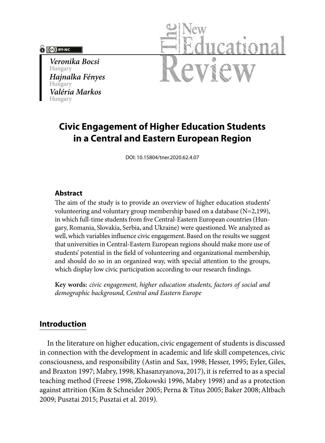### **PO BY-NC**

*Veronika Bocsi* Hungary *Hajnalka Fényes* Hungary *Valéria Markos* Hungary



# **Civic Engagement of Higher Education Students in a Central and Eastern European Region**

DOI: 10.15804/tner.2020.62.4.07

### **Abstract**

The aim of the study is to provide an overview of higher education students' volunteering and voluntary group membership based on a database (N=2,199), in which full-time students from five Central-Eastern European countries (Hungary, Romania, Slovakia, Serbia, and Ukraine) were questioned. We analyzed as well, which variables influence civic engagement. Based on the results we suggest that universities in Central-Eastern European regions should make more use of students' potential in the field of volunteering and organizational membership, and should do so in an organized way, with special attention to the groups, which display low civic participation according to our research findings.

**Key words:** *civic engagement, higher education students, factors of social and demographic background, Central and Eastern Europe*

# **Introduction**

In the literature on higher education, civic engagement of students is discussed in connection with the development in academic and life skill competences, civic consciousness, and responsibility (Astin and Sax, 1998; Hesser, 1995; Eyler, Giles, and Braxton 1997; Mabry, 1998; Khasanzyanova, 2017), it is referred to as a special teaching method (Freese 1998, Zlokowski 1996, Mabry 1998) and as a protection against attrition (Kim & Schneider 2005; Perna & Titus 2005; Baker 2008; Altbach 2009; Pusztai 2015; Pusztai et al. 2019).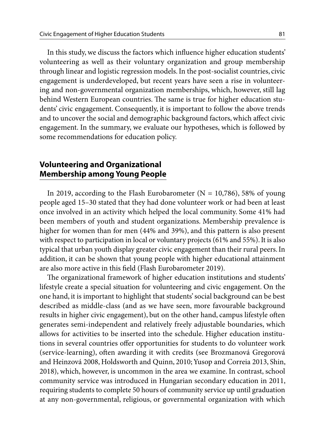In this study, we discuss the factors which influence higher education students' volunteering as well as their voluntary organization and group membership through linear and logistic regression models. In the post-socialist countries, civic engagement is underdeveloped, but recent years have seen a rise in volunteering and non-governmental organization memberships, which, however, still lag behind Western European countries. The same is true for higher education students' civic engagement. Consequently, it is important to follow the above trends and to uncover the social and demographic background factors, which affect civic engagement. In the summary, we evaluate our hypotheses, which is followed by some recommendations for education policy.

### **Volunteering and Organizational Membership among Young People**

In 2019, according to the Flash Eurobarometer ( $N = 10,786$ ), 58% of young people aged 15–30 stated that they had done volunteer work or had been at least once involved in an activity which helped the local community. Some 41% had been members of youth and student organizations. Membership prevalence is higher for women than for men (44% and 39%), and this pattern is also present with respect to participation in local or voluntary projects (61% and 55%). It is also typical that urban youth display greater civic engagement than their rural peers. In addition, it can be shown that young people with higher educational attainment are also more active in this field (Flash Eurobarometer 2019).

The organizational framework of higher education institutions and students' lifestyle create a special situation for volunteering and civic engagement. On the one hand, it is important to highlight that students' social background can be best described as middle-class (and as we have seen, more favourable background results in higher civic engagement), but on the other hand, campus lifestyle often generates semi-independent and relatively freely adjustable boundaries, which allows for activities to be inserted into the schedule. Higher education institutions in several countries offer opportunities for students to do volunteer work (service-learning), often awarding it with credits (see Brozmanová Gregorová and Heinzová 2008, Holdsworth and Quinn, 2010; Yusop and Correia 2013, Shin, 2018), which, however, is uncommon in the area we examine. In contrast, school community service was introduced in Hungarian secondary education in 2011, requiring students to complete 50 hours of community service up until graduation at any non-governmental, religious, or governmental organization with which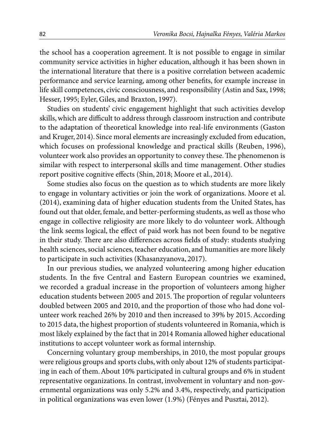the school has a cooperation agreement. It is not possible to engage in similar community service activities in higher education, although it has been shown in the international literature that there is a positive correlation between academic performance and service learning, among other benefits, for example increase in life skill competences, civic consciousness, and responsibility (Astin and Sax, 1998; Hesser, 1995; Eyler, Giles, and Braxton, 1997).

Studies on students' civic engagement highlight that such activities develop skills, which are difficult to address through classroom instruction and contribute to the adaptation of theoretical knowledge into real-life environments (Gaston and Kruger, 2014). Since moral elements are increasingly excluded from education, which focuses on professional knowledge and practical skills (Reuben, 1996), volunteer work also provides an opportunity to convey these. The phenomenon is similar with respect to interpersonal skills and time management. Other studies report positive cognitive effects (Shin, 2018; Moore et al., 2014).

Some studies also focus on the question as to which students are more likely to engage in voluntary activities or join the work of organizations. Moore et al. (2014), examining data of higher education students from the United States, has found out that older, female, and better-performing students, as well as those who engage in collective religiosity are more likely to do volunteer work. Although the link seems logical, the effect of paid work has not been found to be negative in their study. There are also differences across fields of study: students studying health sciences, social sciences, teacher education, and humanities are more likely to participate in such activities (Khasanzyanova, 2017).

In our previous studies, we analyzed volunteering among higher education students. In the five Central and Eastern European countries we examined, we recorded a gradual increase in the proportion of volunteers among higher education students between 2005 and 2015. The proportion of regular volunteers doubled between 2005 and 2010, and the proportion of those who had done volunteer work reached 26% by 2010 and then increased to 39% by 2015. According to 2015 data, the highest proportion of students volunteered in Romania, which is most likely explained by the fact that in 2014 Romania allowed higher educational institutions to accept volunteer work as formal internship.

Concerning voluntary group memberships, in 2010, the most popular groups were religious groups and sports clubs, with only about 12% of students participating in each of them. About 10% participated in cultural groups and 6% in student representative organizations. In contrast, involvement in voluntary and non-governmental organizations was only 5.2% and 3.4%, respectively, and participation in political organizations was even lower (1.9%) (Fényes and Pusztai, 2012).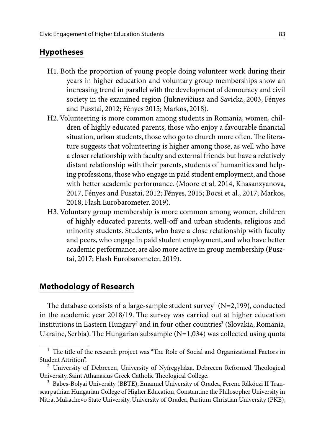### **Hypotheses**

- H1. Both the proportion of young people doing volunteer work during their years in higher education and voluntary group memberships show an increasing trend in parallel with the development of democracy and civil society in the examined region (Juknevičiusa and Savicka, 2003, Fényes and Pusztai, 2012; Fényes 2015; Markos, 2018).
- H2. Volunteering is more common among students in Romania, women, children of highly educated parents, those who enjoy a favourable financial situation, urban students, those who go to church more often. The literature suggests that volunteering is higher among those, as well who have a closer relationship with faculty and external friends but have a relatively distant relationship with their parents, students of humanities and helping professions, those who engage in paid student employment, and those with better academic performance. (Moore et al. 2014, Khasanzyanova, 2017, Fényes and Pusztai, 2012; Fényes, 2015; Bocsi et al., 2017; Markos, 2018; Flash Eurobarometer, 2019).
- H3. Voluntary group membership is more common among women, children of highly educated parents, well-off and urban students, religious and minority students. Students, who have a close relationship with faculty and peers, who engage in paid student employment, and who have better academic performance, are also more active in group membership (Pusztai, 2017; Flash Eurobarometer, 2019).

## **Methodology of Research**

The database consists of a large-sample student survey<sup>1</sup> (N=2,199), conducted in the academic year 2018/19. The survey was carried out at higher education institutions in Eastern Hungary<sup>2</sup> and in four other countries<sup>3</sup> (Slovakia, Romania, Ukraine, Serbia). The Hungarian subsample (N=1,034) was collected using quota

<sup>&</sup>lt;sup>1</sup> The title of the research project was "The Role of Social and Organizational Factors in Student Attrition".

<sup>&</sup>lt;sup>2</sup> University of Debrecen, University of Nyíregyháza, Debrecen Reformed Theological University, Saint Athanasius Greek Catholic Theological College.

<sup>&</sup>lt;sup>3</sup> Babeș-Bolyai University (BBTE), Emanuel University of Oradea, Ferenc Rákóczi II Transcarpathian Hungarian College of Higher Education, Constantine the Philosopher University in Nitra, Mukachevo State University, University of Oradea, Partium Christian University (PKE),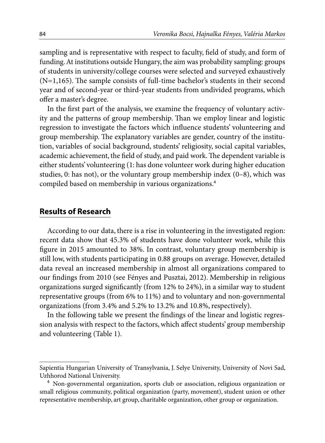sampling and is representative with respect to faculty, field of study, and form of funding. At institutions outside Hungary, the aim was probability sampling: groups of students in university/college courses were selected and surveyed exhaustively (N=1,165). The sample consists of full-time bachelor's students in their second year and of second-year or third-year students from undivided programs, which offer a master's degree.

In the first part of the analysis, we examine the frequency of voluntary activity and the patterns of group membership. Than we employ linear and logistic regression to investigate the factors which influence students' volunteering and group membership. The explanatory variables are gender, country of the institution, variables of social background, students' religiosity, social capital variables, academic achievement, the field of study, and paid work. The dependent variable is either students' volunteering (1: has done volunteer work during higher education studies, 0: has not), or the voluntary group membership index (0–8), which was compiled based on membership in various organizations.<sup>4</sup>

### **Results of Research**

According to our data, there is a rise in volunteering in the investigated region: recent data show that 45.3% of students have done volunteer work, while this figure in 2015 amounted to 38%. In contrast, voluntary group membership is still low, with students participating in 0.88 groups on average. However, detailed data reveal an increased membership in almost all organizations compared to our findings from 2010 (see Fényes and Pusztai, 2012). Membership in religious organizations surged significantly (from 12% to 24%), in a similar way to student representative groups (from 6% to 11%) and to voluntary and non-governmental organizations (from 3.4% and 5.2% to 13.2% and 10.8%, respectively).

In the following table we present the findings of the linear and logistic regression analysis with respect to the factors, which affect students' group membership and volunteering (Table 1).

Sapientia Hungarian University of Transylvania, J. Selye University, University of Novi Sad, Uzhhorod National University.

<sup>&</sup>lt;sup>4</sup> Non-governmental organization, sports club or association, religious organization or small religious community, political organization (party, movement), student union or other representative membership, art group, charitable organization, other group or organization.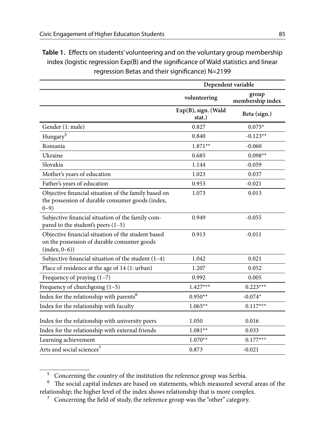**Table 1.** Effects on students' volunteering and on the voluntary group membership index (logistic regression Exp(B) and the significance of Wald statistics and linear regression Betas and their significance) N=2199

|                                                                                                                       | Dependent variable            |                           |
|-----------------------------------------------------------------------------------------------------------------------|-------------------------------|---------------------------|
|                                                                                                                       | volunteering                  | group<br>membership index |
|                                                                                                                       | Exp(B), sign. (Wald<br>stat.) | Beta (sign.)              |
| Gender (1: male)                                                                                                      | 0.827                         | $0.075*$                  |
| Hungary <sup>5</sup>                                                                                                  | 0.840                         | $-0.123**$                |
| Romania                                                                                                               | $1.871**$                     | $-0.060$                  |
| Ukraine                                                                                                               | 0.685                         | $0.098**$                 |
| Slovakia                                                                                                              | 1.144                         | $-0.059$                  |
| Mother's years of education                                                                                           | 1.023                         | 0.037                     |
| Father's years of education                                                                                           | 0.953                         | $-0.021$                  |
| Objective financial situation of the family based on<br>the possession of durable consumer goods (index,<br>$0 - 9$ ) | 1.073                         | 0.013                     |
| Subjective financial situation of the family com-<br>pared to the student's peers $(1-5)$                             | 0.949                         | $-0.055$                  |
| Objective financial situation of the student based<br>on the possession of durable consumer goods<br>$(index, 0-6))$  | 0.913                         | $-0.011$                  |
| Subjective financial situation of the student $(1-4)$                                                                 | 1.042                         | 0.021                     |
| Place of residence at the age of 14 (1: urban)                                                                        | 1.207                         | 0.052                     |
| Frequency of praying $(1-7)$                                                                                          | 0.992                         | 0.005                     |
| Frequency of churchgoing $(1-5)$                                                                                      | $1.427***$                    | $0.223***$                |
| Index for the relationship with parents <sup>6</sup>                                                                  | $0.950**$                     | $-0.074*$                 |
| Index for the relationship with faculty                                                                               | $1.065**$                     | $0.117***$                |
| Index for the relationship with university peers                                                                      | 1.050                         | 0.016                     |
| Index for the relationship with external friends                                                                      | $1.081**$                     | 0.033                     |
| Learning achievement                                                                                                  | $1.070**$                     | $0.177***$                |
| Arts and social sciences <sup>7</sup>                                                                                 | 0.873                         | $-0.021$                  |

<sup>&</sup>lt;sup>5</sup> Concerning the country of the institution the reference group was Serbia.

<sup>6</sup> The social capital indexes are based on statements, which measured several areas of the relationship; the higher level of the index shows relationship that is more complex.

 $\,$  Concerning the field of study, the reference group was the "other" category.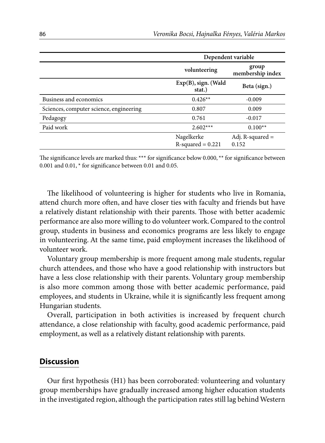|                                         | Dependent variable                 |                             |
|-----------------------------------------|------------------------------------|-----------------------------|
|                                         | volunteering                       | group<br>membership index   |
|                                         | $Exp(B)$ , sign. (Wald<br>stat.)   | Beta (sign.)                |
| Business and economics                  | $0.426**$                          | $-0.009$                    |
| Sciences, computer science, engineering | 0.807                              | 0.009                       |
| Pedagogy                                | 0.761                              | $-0.017$                    |
| Paid work                               | $2.602***$                         | $0.100**$                   |
|                                         | Nagelkerke<br>$R$ -squared = 0.221 | Adj. R-squared $=$<br>0.152 |

The significance levels are marked thus: \*\*\* for significance below 0.000, \*\* for significance between 0.001 and 0.01, \* for significance between 0.01 and 0.05.

The likelihood of volunteering is higher for students who live in Romania, attend church more often, and have closer ties with faculty and friends but have a relatively distant relationship with their parents. Those with better academic performance are also more willing to do volunteer work. Compared to the control group, students in business and economics programs are less likely to engage in volunteering. At the same time, paid employment increases the likelihood of volunteer work.

Voluntary group membership is more frequent among male students, regular church attendees, and those who have a good relationship with instructors but have a less close relationship with their parents. Voluntary group membership is also more common among those with better academic performance, paid employees, and students in Ukraine, while it is significantly less frequent among Hungarian students.

Overall, participation in both activities is increased by frequent church attendance, a close relationship with faculty, good academic performance, paid employment, as well as a relatively distant relationship with parents.

#### **Discussion**

Our first hypothesis (H1) has been corroborated: volunteering and voluntary group memberships have gradually increased among higher education students in the investigated region, although the participation rates still lag behind Western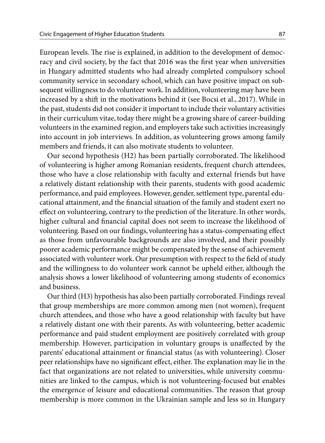European levels. The rise is explained, in addition to the development of democracy and civil society, by the fact that 2016 was the first year when universities in Hungary admitted students who had already completed compulsory school community service in secondary school, which can have positive impact on subsequent willingness to do volunteer work. In addition, volunteering may have been increased by a shift in the motivations behind it (see Bocsi et al., 2017). While in the past, students did not consider it important to include their voluntary activities in their curriculum vitae, today there might be a growing share of career-building volunteers in the examined region, and employers take such activities increasingly into account in job interviews. In addition, as volunteering grows among family members and friends, it can also motivate students to volunteer.

Our second hypothesis (H2) has been partially corroborated. The likelihood of volunteering is higher among Romanian residents, frequent church attendees, those who have a close relationship with faculty and external friends but have a relatively distant relationship with their parents, students with good academic performance, and paid employees. However, gender, settlement type, parental educational attainment, and the financial situation of the family and student exert no effect on volunteering, contrary to the prediction of the literature. In other words, higher cultural and financial capital does not seem to increase the likelihood of volunteering. Based on our findings, volunteering has a status-compensating effect as those from unfavourable backgrounds are also involved, and their possibly poorer academic performance might be compensated by the sense of achievement associated with volunteer work. Our presumption with respect to the field of study and the willingness to do volunteer work cannot be upheld either, although the analysis shows a lower likelihood of volunteering among students of economics and business.

Our third (H3) hypothesis has also been partially corroborated. Findings reveal that group memberships are more common among men (not women), frequent church attendees, and those who have a good relationship with faculty but have a relatively distant one with their parents. As with volunteering, better academic performance and paid student employment are positively correlated with group membership. However, participation in voluntary groups is unaffected by the parents' educational attainment or financial status (as with volunteering). Closer peer relationships have no significant effect, either. The explanation may lie in the fact that organizations are not related to universities, while university communities are linked to the campus, which is not volunteering-focused but enables the emergence of leisure and educational communities. The reason that group membership is more common in the Ukrainian sample and less so in Hungary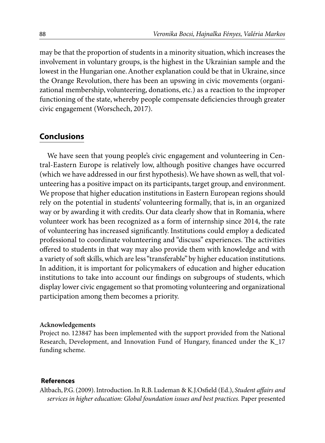may be that the proportion of students in a minority situation, which increases the involvement in voluntary groups, is the highest in the Ukrainian sample and the lowest in the Hungarian one. Another explanation could be that in Ukraine, since the Orange Revolution, there has been an upswing in civic movements (organizational membership, volunteering, donations, etc.) as a reaction to the improper functioning of the state, whereby people compensate deficiencies through greater civic engagement (Worschech, 2017).

### **Conclusions**

We have seen that young people's civic engagement and volunteering in Central-Eastern Europe is relatively low, although positive changes have occurred (which we have addressed in our first hypothesis). We have shown as well, that volunteering has a positive impact on its participants, target group, and environment. We propose that higher education institutions in Eastern European regions should rely on the potential in students' volunteering formally, that is, in an organized way or by awarding it with credits. Our data clearly show that in Romania, where volunteer work has been recognized as a form of internship since 2014, the rate of volunteering has increased significantly. Institutions could employ a dedicated professional to coordinate volunteering and "discuss" experiences. The activities offered to students in that way may also provide them with knowledge and with a variety of soft skills, which are less "transferable" by higher education institutions. In addition, it is important for policymakers of education and higher education institutions to take into account our findings on subgroups of students, which display lower civic engagement so that promoting volunteering and organizational participation among them becomes a priority.

#### **Acknowledgements**

Project no. 123847 has been implemented with the support provided from the National Research, Development, and Innovation Fund of Hungary, financed under the K\_17 funding scheme.

#### **References**

Altbach, P.G. (2009). Introduction. In R.B. Ludeman & K.J.Osfield (Ed.), *Student affairs and services in higher education: Global foundation issues and best practices.* Paper presented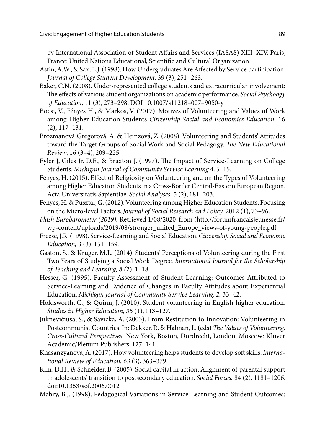by International Association of Student Affairs and Services (IASAS) XIII–XIV. Paris, France: United Nations Educational, Scientific and Cultural Organization.

- Astin, A.W., & Sax, L.J. (1998). How Undergraduates Are Affected by Service participation. *Journal of College Student Development,* 39 (3), 251−263.
- Baker, C.N. (2008). Under-represented college students and extracurricular involvement: The effects of various student organizations on academic performance. *Social Psychoogy of Education*, 11 (3), 273–298. DOI 10.1007/s11218–007–9050-y
- Bocsi, V., Fényes H., & Markos, V. (2017). Motives of Volunteering and Values of Work among Higher Education Students *Citizenship Social and Economics Education,* 16 (2), 117–131.
- Brozmanová Gregorová, A. & Heinzová, Z. (2008). Volunteering and Students' Attitudes toward the Target Groups of Social Work and Social Pedagogy. *The New Educational Review*, 16 (3–4), 209–225.
- Eyler J, Giles Jr. D.E., & Braxton J. (1997). The Impact of Service-Learning on College Students. *Michigan Journal of Community Service Learning* 4. 5–15.
- Fényes, H. (2015). Effect of Religiosity on Volunteering and on the Types of Volunteering among Higher Education Students in a Cross-Border Central-Eastern European Region. Acta Universitatis Sapientiae. *Social Analyses,* 5 (2), 181–203.
- Fényes, H. & Pusztai, G. (2012). Volunteering among Higher Education Students, Focusing on the Micro-level Factors, *Journal of Social Research and Policy,* 2012 (1), 73–96.
- *Flash Eurobarometer (2019).* Retrieved 1/08/2020, from (http://forumfrancaisjeunesse.fr/ wp-content/uploads/2019/08/stronger\_united\_Europe\_views-of-young-people.pdf
- Freese, J.R. (1998). Service-Learning and Social Education. *Citizenship Social and Economic Education,* 3 (3), 151–159.
- Gaston, S., & Kruger, M.L. (2014). Students' Perceptions of Volunteering during the First Two Years of Studying a Social Work Degree. *International Journal for the Scholarship of Teaching and Learning, 8 (*2), 1–18.
- Hesser, G. (1995). Faculty Assessment of Student Learning: Outcomes Attributed to Service-Learning and Evidence of Changes in Faculty Attitudes about Experiential Education. *Michigan Journal of Community Service Learning, 2.* 33–42.
- Holdsworth, C., & Quinn, J. (2010). Student volunteering in English higher education. *Studies in Higher Education, 35* (1), 113–127.
- Juknevičiusa, S., & Savicka, A. (2003). From Restitution to Innovation: Volunteering in Postcommunist Countries. In: Dekker, P., & Halman, L. (eds) *The Values of Volunteering. Cross-Cultural Perspectives.* New York, Boston, Dordrecht, London, Moscow: Kluver Academic/Plenum Publishers. 127–141.
- Khasanzyanova, A. (2017). How volunteering helps students to develop soft skills. *International Review of Education, 63* (3), 363–379.
- Kim, D.H., & Schneider, B. (2005). Social capital in action: Alignment of parental support in adolescents' transition to postsecondary education. *Social Forces,* 84 (2), 1181–1206. doi:10.1353/sof.2006.0012
- Mabry, B.J. (1998). Pedagogical Variations in Service-Learning and Student Outcomes: